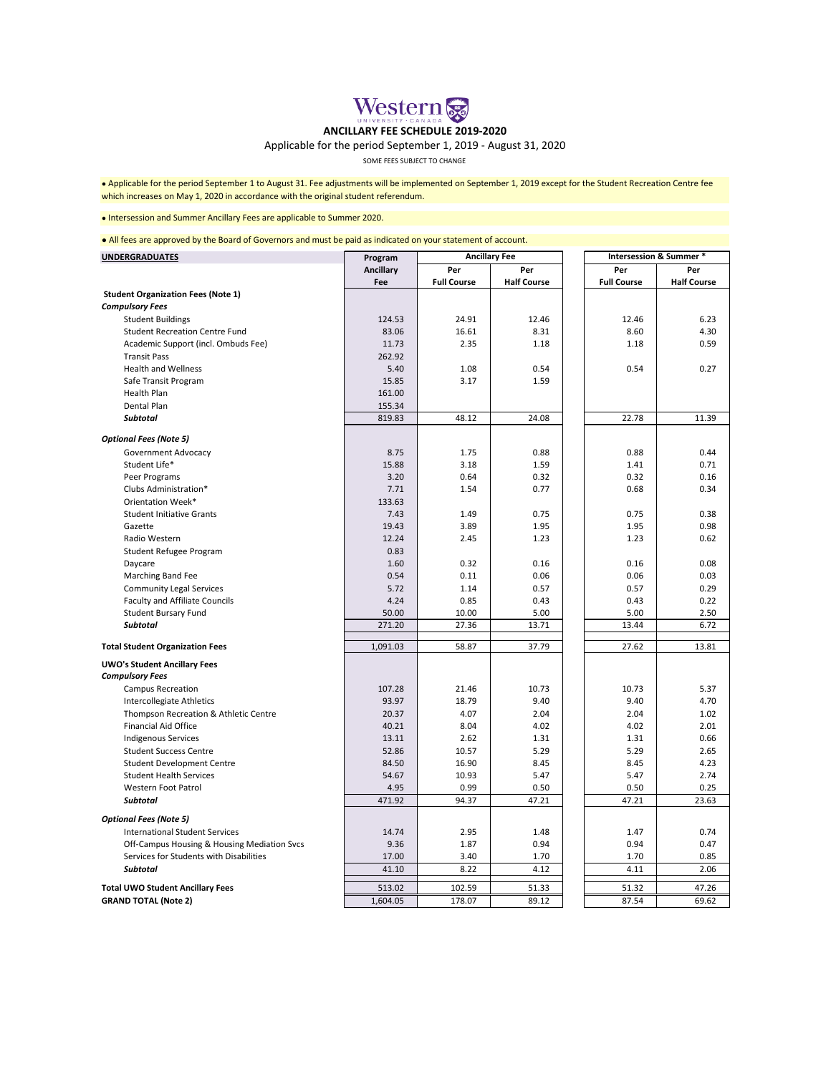

## **ANCILLARY FEE SCHEDULE 2019-2020**

## Applicable for the period September 1, 2019 - August 31, 2020

SOME FEES SUBJECT TO CHANGE

● Applicable for the period September 1 to August 31. Fee adjustments will be implemented on September 1, 2019 except for the Student Recreation Centre fee which increases on May 1, 2020 in accordance with the original student referendum.

## ● Intersession and Summer Ancillary Fees are applicable to Summer 2020.

● All fees are approved by the Board of Governors and must be paid as indicated on your statement of account.

| <b>UNDERGRADUATES</b>                       | Program   | <b>Ancillary Fee</b> |                    | Intersession & Summer * |                    |
|---------------------------------------------|-----------|----------------------|--------------------|-------------------------|--------------------|
|                                             | Ancillary | Per                  | Per                | Per                     | Per                |
|                                             | Fee       | <b>Full Course</b>   | <b>Half Course</b> | <b>Full Course</b>      | <b>Half Course</b> |
| <b>Student Organization Fees (Note 1)</b>   |           |                      |                    |                         |                    |
| <b>Compulsory Fees</b>                      |           |                      |                    |                         |                    |
| <b>Student Buildings</b>                    | 124.53    | 24.91                | 12.46              | 12.46                   | 6.23               |
| <b>Student Recreation Centre Fund</b>       | 83.06     | 16.61                | 8.31               | 8.60                    | 4.30               |
| Academic Support (incl. Ombuds Fee)         | 11.73     | 2.35                 | 1.18               | 1.18                    | 0.59               |
| <b>Transit Pass</b>                         | 262.92    |                      |                    |                         |                    |
| <b>Health and Wellness</b>                  | 5.40      | 1.08                 | 0.54               | 0.54                    | 0.27               |
| Safe Transit Program                        | 15.85     | 3.17                 | 1.59               |                         |                    |
| Health Plan                                 | 161.00    |                      |                    |                         |                    |
| Dental Plan                                 | 155.34    |                      |                    |                         |                    |
| <b>Subtotal</b>                             | 819.83    | 48.12                | 24.08              | 22.78                   | 11.39              |
| <b>Optional Fees (Note 5)</b>               |           |                      |                    |                         |                    |
| Government Advocacy                         | 8.75      | 1.75                 | 0.88               | 0.88                    | 0.44               |
| Student Life*                               | 15.88     | 3.18                 | 1.59               | 1.41                    | 0.71               |
| Peer Programs                               | 3.20      | 0.64                 | 0.32               | 0.32                    | 0.16               |
| Clubs Administration*                       | 7.71      | 1.54                 | 0.77               | 0.68                    | 0.34               |
| Orientation Week*                           | 133.63    |                      |                    |                         |                    |
| <b>Student Initiative Grants</b>            | 7.43      | 1.49                 | 0.75               | 0.75                    | 0.38               |
| Gazette                                     | 19.43     | 3.89                 | 1.95               | 1.95                    | 0.98               |
| Radio Western                               | 12.24     | 2.45                 | 1.23               | 1.23                    | 0.62               |
| Student Refugee Program                     | 0.83      |                      |                    |                         |                    |
| Daycare                                     | 1.60      | 0.32                 | 0.16               | 0.16                    | 0.08               |
| Marching Band Fee                           | 0.54      | 0.11                 | 0.06               | 0.06                    | 0.03               |
| <b>Community Legal Services</b>             | 5.72      | 1.14                 | 0.57               | 0.57                    | 0.29               |
| Faculty and Affiliate Councils              | 4.24      | 0.85                 | 0.43               | 0.43                    | 0.22               |
| <b>Student Bursary Fund</b>                 | 50.00     | 10.00                | 5.00               | 5.00                    | 2.50               |
| <b>Subtotal</b>                             | 271.20    | 27.36                | 13.71              | 13.44                   | 6.72               |
|                                             |           | 58.87                | 37.79              | 27.62                   | 13.81              |
| <b>Total Student Organization Fees</b>      | 1,091.03  |                      |                    |                         |                    |
| <b>UWO's Student Ancillary Fees</b>         |           |                      |                    |                         |                    |
| <b>Compulsory Fees</b>                      |           |                      |                    |                         |                    |
| <b>Campus Recreation</b>                    | 107.28    | 21.46                | 10.73              | 10.73                   | 5.37               |
| Intercollegiate Athletics                   | 93.97     | 18.79                | 9.40               | 9.40                    | 4.70               |
| Thompson Recreation & Athletic Centre       | 20.37     | 4.07                 | 2.04               | 2.04                    | 1.02               |
| <b>Financial Aid Office</b>                 | 40.21     | 8.04                 | 4.02               | 4.02                    | 2.01               |
| <b>Indigenous Services</b>                  | 13.11     | 2.62                 | 1.31               | 1.31                    | 0.66               |
| <b>Student Success Centre</b>               | 52.86     | 10.57                | 5.29               | 5.29                    | 2.65               |
| Student Development Centre                  | 84.50     | 16.90                | 8.45               | 8.45                    | 4.23               |
| <b>Student Health Services</b>              | 54.67     | 10.93                | 5.47               | 5.47                    | 2.74               |
| <b>Western Foot Patrol</b>                  | 4.95      | 0.99                 | 0.50               | 0.50                    | 0.25               |
| <b>Subtotal</b>                             | 471.92    | 94.37                | 47.21              | 47.21                   | 23.63              |
| <b>Optional Fees (Note 5)</b>               |           |                      |                    |                         |                    |
| <b>International Student Services</b>       | 14.74     | 2.95                 | 1.48               | 1.47                    | 0.74               |
| Off-Campus Housing & Housing Mediation Svcs | 9.36      | 1.87                 | 0.94               | 0.94                    | 0.47               |
| Services for Students with Disabilities     | 17.00     | 3.40                 | 1.70               | 1.70                    | 0.85               |
| <b>Subtotal</b>                             | 41.10     | 8.22                 | 4.12               | 4.11                    | 2.06               |
| <b>Total UWO Student Ancillary Fees</b>     | 513.02    | 102.59               | 51.33              | 51.32                   | 47.26              |
| <b>GRAND TOTAL (Note 2)</b>                 | 1,604.05  | 178.07               | 89.12              | 87.54                   | 69.62              |